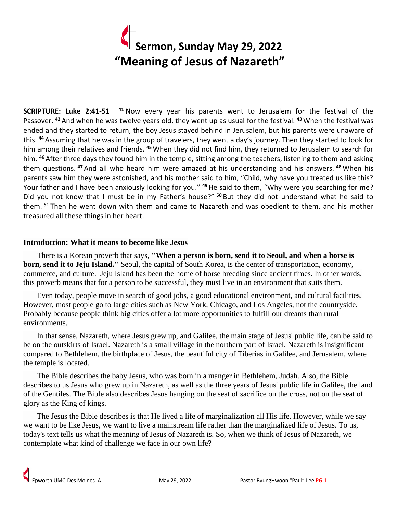# **Sermon, Sunday May 29, 2022 "Meaning of Jesus of Nazareth"**

**SCRIPTURE: Luke 2:41-51 <sup>41</sup>** Now every year his parents went to Jerusalem for the festival of the Passover. **<sup>42</sup>** And when he was twelve years old, they went up as usual for the festival. **<sup>43</sup>** When the festival was ended and they started to return, the boy Jesus stayed behind in Jerusalem, but his parents were unaware of this. **<sup>44</sup>**Assuming that he was in the group of travelers, they went a day's journey. Then they started to look for him among their relatives and friends. **<sup>45</sup>** When they did not find him, they returned to Jerusalem to search for him. **<sup>46</sup>** After three days they found him in the temple, sitting among the teachers, listening to them and asking them questions. **<sup>47</sup>** And all who heard him were amazed at his understanding and his answers. **<sup>48</sup>** When his parents saw him they were astonished, and his mother said to him, "Child, why have you treated us like this? Your father and I have been anxiously looking for you." **<sup>49</sup>**He said to them, "Why were you searching for me? Did you not know that I must be in my Father's house?" **<sup>50</sup>** But they did not understand what he said to them. **<sup>51</sup>** Then he went down with them and came to Nazareth and was obedient to them, and his mother treasured all these things in her heart.

## **Introduction: What it means to become like Jesus**

 There is a Korean proverb that says, **"When a person is born, send it to Seoul, and when a horse is born, send it to Jeju Island."** Seoul, the capital of South Korea, is the center of transportation, economy, commerce, and culture. Jeju Island has been the home of horse breeding since ancient times. In other words, this proverb means that for a person to be successful, they must live in an environment that suits them.

 Even today, people move in search of good jobs, a good educational environment, and cultural facilities. However, most people go to large cities such as New York, Chicago, and Los Angeles, not the countryside. Probably because people think big cities offer a lot more opportunities to fulfill our dreams than rural environments.

 In that sense, Nazareth, where Jesus grew up, and Galilee, the main stage of Jesus' public life, can be said to be on the outskirts of Israel. Nazareth is a small village in the northern part of Israel. Nazareth is insignificant compared to Bethlehem, the birthplace of Jesus, the beautiful city of Tiberias in Galilee, and Jerusalem, where the temple is located.

 The Bible describes the baby Jesus, who was born in a manger in Bethlehem, Judah. Also, the Bible describes to us Jesus who grew up in Nazareth, as well as the three years of Jesus' public life in Galilee, the land of the Gentiles. The Bible also describes Jesus hanging on the seat of sacrifice on the cross, not on the seat of glory as the King of kings.

 The Jesus the Bible describes is that He lived a life of marginalization all His life. However, while we say we want to be like Jesus, we want to live a mainstream life rather than the marginalized life of Jesus. To us, today's text tells us what the meaning of Jesus of Nazareth is. So, when we think of Jesus of Nazareth, we contemplate what kind of challenge we face in our own life?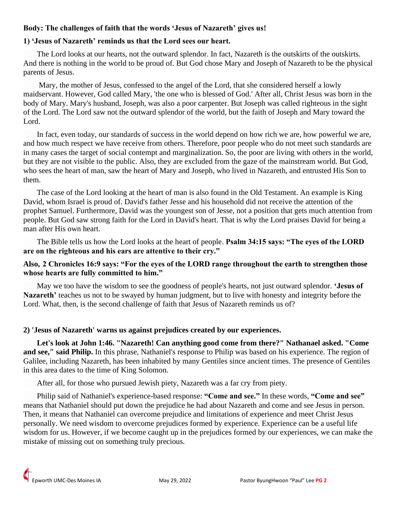# **Body: The challenges of faith that the words 'Jesus of Nazareth' gives us!**

## **1) 'Jesus of Nazareth' reminds us that the Lord sees our heart.**

 The Lord looks at our hearts, not the outward splendor. In fact, Nazareth is the outskirts of the outskirts. And there is nothing in the world to be proud of. But God chose Mary and Joseph of Nazareth to be the physical parents of Jesus.

 Mary, the mother of Jesus, confessed to the angel of the Lord, that she considered herself a lowly maidservant. However, God called Mary, 'the one who is blessed of God.' After all, Christ Jesus was born in the body of Mary. Mary's husband, Joseph, was also a poor carpenter. But Joseph was called righteous in the sight of the Lord. The Lord saw not the outward splendor of the world, but the faith of Joseph and Mary toward the Lord.

 In fact, even today, our standards of success in the world depend on how rich we are, how powerful we are, and how much respect we have receive from others. Therefore, poor people who do not meet such standards are in many cases the target of social contempt and marginalization. So, the poor are living with others in the world, but they are not visible to the public. Also, they are excluded from the gaze of the mainstream world. But God, who sees the heart of man, saw the heart of Mary and Joseph, who lived in Nazareth, and entrusted His Son to them.

 The case of the Lord looking at the heart of man is also found in the Old Testament. An example is King David, whom Israel is proud of. David's father Jesse and his household did not receive the attention of the prophet Samuel. Furthermore, David was the youngest son of Jesse, not a position that gets much attention from people. But God saw strong faith for the Lord in David's heart. That is why the Lord praises David for being a man after His own heart.

 The Bible tells us how the Lord looks at the heart of people. **Psalm 34:15 says: "The eyes of the LORD are on the righteous and his ears are attentive to their cry."**

# **Also, 2 Chronicles 16:9 says: "For the eyes of the LORD range throughout the earth to strengthen those whose hearts are fully committed to him."**

 May we too have the wisdom to see the goodness of people's hearts, not just outward splendor. **'Jesus of Nazareth'** teaches us not to be swayed by human judgment, but to live with honesty and integrity before the Lord. What, then, is the second challenge of faith that Jesus of Nazareth reminds us of?

## **2) 'Jesus of Nazareth' warns us against prejudices created by our experiences.**

 **Let's look at John 1:46. "Nazareth! Can anything good come from there?" Nathanael asked. "Come and see," said Philip.** In this phrase, Nathaniel's response to Philip was based on his experience. The region of Galilee, including Nazareth, has been inhabited by many Gentiles since ancient times. The presence of Gentiles in this area dates to the time of King Solomon.

After all, for those who pursued Jewish piety, Nazareth was a far cry from piety.

 Philip said of Nathaniel's experience-based response: **"Come and see."** In these words, **"Come and see"** means that Nathaniel should put down the prejudice he had about Nazareth and come and see Jesus in person. Then, it means that Nathaniel can overcome prejudice and limitations of experience and meet Christ Jesus personally. We need wisdom to overcome prejudices formed by experience. Experience can be a useful life wisdom for us. However, if we become caught up in the prejudices formed by our experiences, we can make the mistake of missing out on something truly precious.